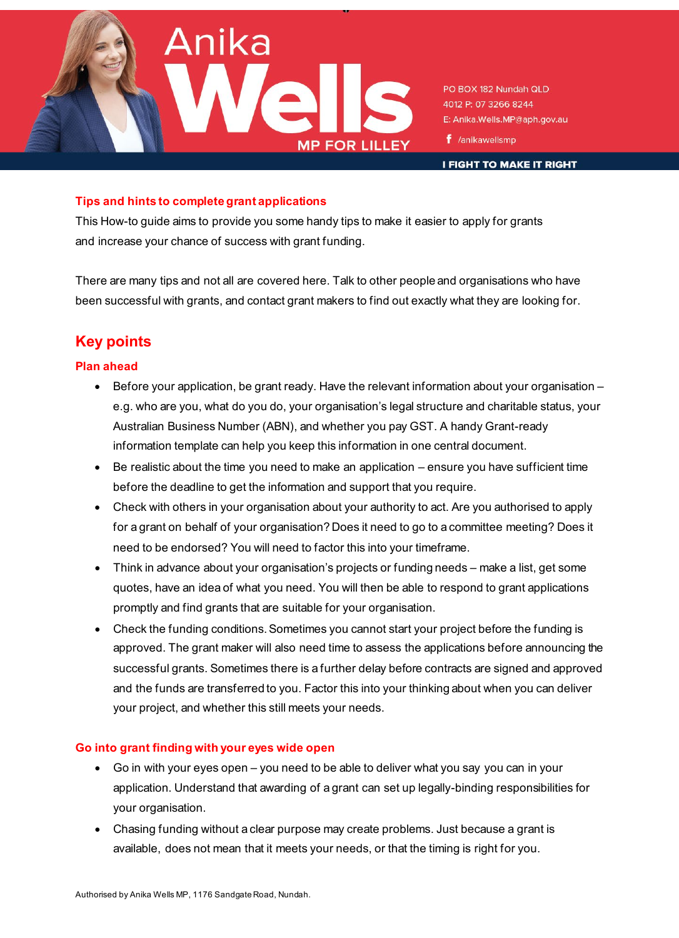

PO BOX 182 Nundah QLD 4012 P: 07 3266 8244 E: Anika.Wells.MP@aph.gov.au

 $f$  /anikawellsmp

**I FIGHT TO MAKE IT RIGHT** 

## **Tips and hints to complete grant applications**

This How-to guide aims to provide you some handy tips to make it easier to apply for grants and increase your chance of success with grant funding.

There are many tips and not all are covered here. Talk to other people and organisations who have been successful with grants, and contact grant makers to find out exactly what they are looking for.

# **Key points**

## **Plan ahead**

- Before your application, be grant ready. Have the relevant information about your organisation e.g. who are you, what do you do, your organisation's legal structure and charitable status, your Australian Business Number (ABN), and whether you pay GST. A handy Grant-ready information template can help you keep this information in one central document.
- Be realistic about the time you need to make an application ensure you have sufficient time before the deadline to get the information and support that you require.
- Check with others in your organisation about your authority to act. Are you authorised to apply for a grant on behalf of your organisation? Does it need to go to a committee meeting? Does it need to be endorsed? You will need to factor this into your timeframe.
- Think in advance about your organisation's projects or funding needs make a list, get some quotes, have an idea of what you need. You will then be able to respond to grant applications promptly and find grants that are suitable for your organisation.
- Check the funding conditions. Sometimes you cannot start your project before the funding is approved. The grant maker will also need time to assess the applications before announcing the successful grants. Sometimes there is a further delay before contracts are signed and approved and the funds are transferred to you. Factor this into your thinking about when you can deliver your project, and whether this still meets your needs.

## **Go into grant finding with your eyes wide open**

- Go in with your eyes open you need to be able to deliver what you say you can in your application. Understand that awarding of a grant can set up legally-binding responsibilities for your organisation.
- Chasing funding without a clear purpose may create problems. Just because a grant is available, does not mean that it meets your needs, or that the timing is right for you.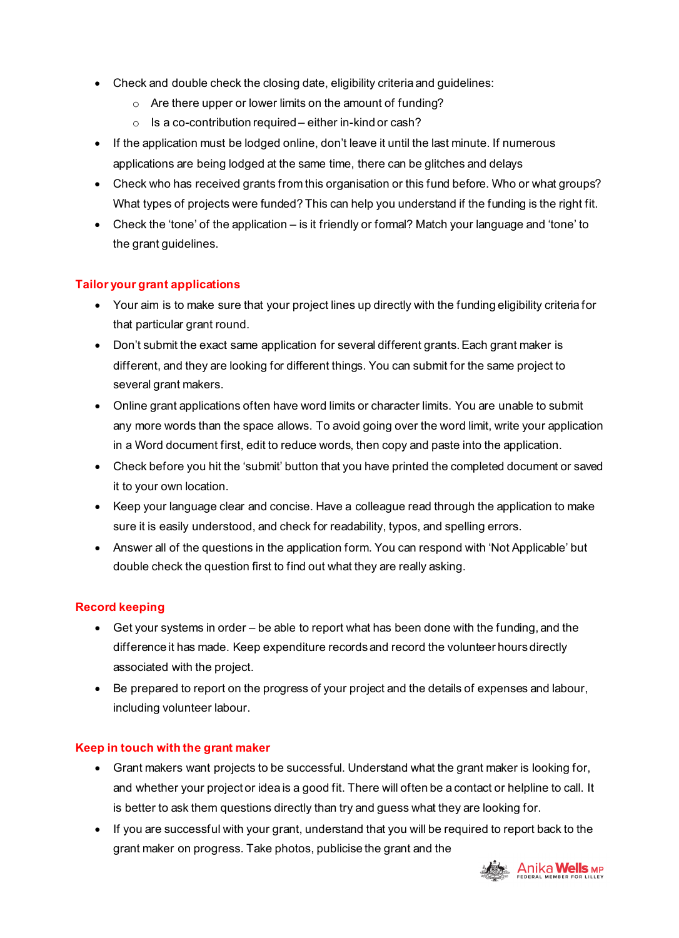- Check and double check the closing date, eligibility criteria and guidelines:
	- o Are there upper or lower limits on the amount of funding?
	- o Is a co-contribution required either in-kind or cash?
- If the application must be lodged online, don't leave it until the last minute. If numerous applications are being lodged at the same time, there can be glitches and delays
- Check who has received grants from this organisation or this fund before. Who or what groups? What types of projects were funded? This can help you understand if the funding is the right fit.
- Check the 'tone' of the application is it friendly or formal? Match your language and 'tone' to the grant guidelines.

## **Tailor your grant applications**

- Your aim is to make sure that your project lines up directly with the funding eligibility criteria for that particular grant round.
- Don't submit the exact same application for several different grants. Each grant maker is different, and they are looking for different things. You can submit for the same project to several grant makers.
- Online grant applications often have word limits or character limits. You are unable to submit any more words than the space allows. To avoid going over the word limit, write your application in a Word document first, edit to reduce words, then copy and paste into the application.
- Check before you hit the 'submit' button that you have printed the completed document or saved it to your own location.
- Keep your language clear and concise. Have a colleague read through the application to make sure it is easily understood, and check for readability, typos, and spelling errors.
- Answer all of the questions in the application form. You can respond with 'Not Applicable' but double check the question first to find out what they are really asking.

## **Record keeping**

- Get your systems in order be able to report what has been done with the funding, and the difference it has made. Keep expenditure records and record the volunteer hours directly associated with the project.
- Be prepared to report on the progress of your project and the details of expenses and labour, including volunteer labour.

## **Keep in touch with the grant maker**

- Grant makers want projects to be successful. Understand what the grant maker is looking for, and whether your project or idea is a good fit. There will often be a contact or helpline to call. It is better to ask them questions directly than try and guess what they are looking for.
- If you are successful with your grant, understand that you will be required to report back to the grant maker on progress. Take photos, publicise the grant and the